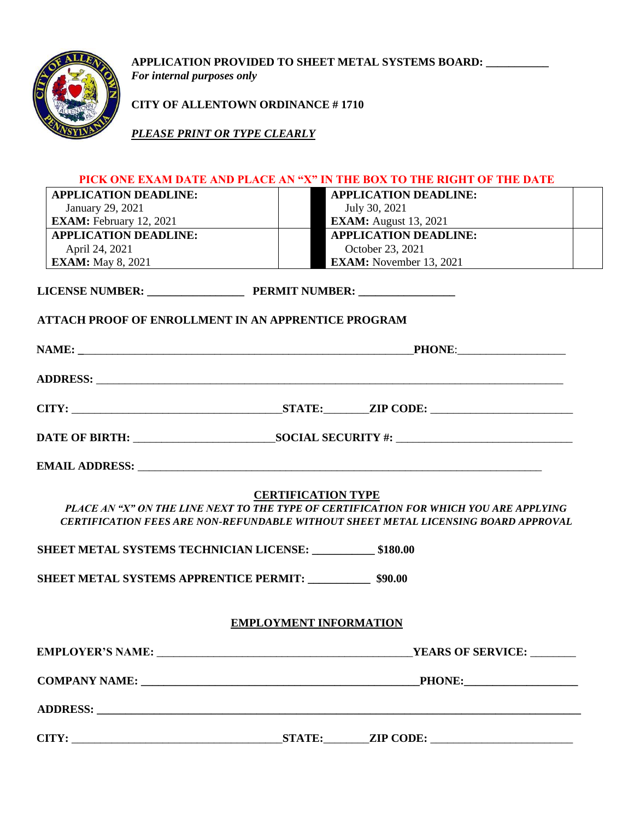

**APPLICATION PROVIDED TO SHEET METAL SYSTEMS BOARD: \_\_\_\_\_\_\_\_\_\_\_** 

*For internal purposes only* 

**CITY OF ALLENTOWN ORDINANCE # 1710**

*PLEASE PRINT OR TYPE CLEARLY*

# **PICK ONE EXAM DATE AND PLACE AN "X" IN THE BOX TO THE RIGHT OF THE DATE**

| <b>APPLICATION DEADLINE:</b>                                 | <b>APPLICATION DEADLINE:</b>                                                                                                                                                                                    |
|--------------------------------------------------------------|-----------------------------------------------------------------------------------------------------------------------------------------------------------------------------------------------------------------|
| January 29, 2021                                             | July 30, 2021                                                                                                                                                                                                   |
| <b>EXAM:</b> February 12, 2021                               | <b>EXAM:</b> August 13, 2021                                                                                                                                                                                    |
| <b>APPLICATION DEADLINE:</b>                                 | <b>APPLICATION DEADLINE:</b>                                                                                                                                                                                    |
| April 24, 2021                                               | October 23, 2021                                                                                                                                                                                                |
| <b>EXAM:</b> May 8, 2021                                     | <b>EXAM:</b> November 13, 2021                                                                                                                                                                                  |
|                                                              |                                                                                                                                                                                                                 |
| <b>ATTACH PROOF OF ENROLLMENT IN AN APPRENTICE PROGRAM</b>   |                                                                                                                                                                                                                 |
|                                                              | PHONE:                                                                                                                                                                                                          |
|                                                              |                                                                                                                                                                                                                 |
|                                                              |                                                                                                                                                                                                                 |
|                                                              |                                                                                                                                                                                                                 |
|                                                              |                                                                                                                                                                                                                 |
|                                                              | <b>CERTIFICATION TYPE</b><br>PLACE AN "X" ON THE LINE NEXT TO THE TYPE OF CERTIFICATION FOR WHICH YOU ARE APPLYING<br><b>CERTIFICATION FEES ARE NON-REFUNDABLE WITHOUT SHEET METAL LICENSING BOARD APPROVAL</b> |
| SHEET METAL SYSTEMS TECHNICIAN LICENSE: ___________ \$180.00 |                                                                                                                                                                                                                 |
| SHEET METAL SYSTEMS APPRENTICE PERMIT: 590.00                |                                                                                                                                                                                                                 |
|                                                              | <b>EMPLOYMENT INFORMATION</b>                                                                                                                                                                                   |
|                                                              |                                                                                                                                                                                                                 |
|                                                              | <b>PHONE:</b> ______________________                                                                                                                                                                            |
|                                                              |                                                                                                                                                                                                                 |
|                                                              |                                                                                                                                                                                                                 |